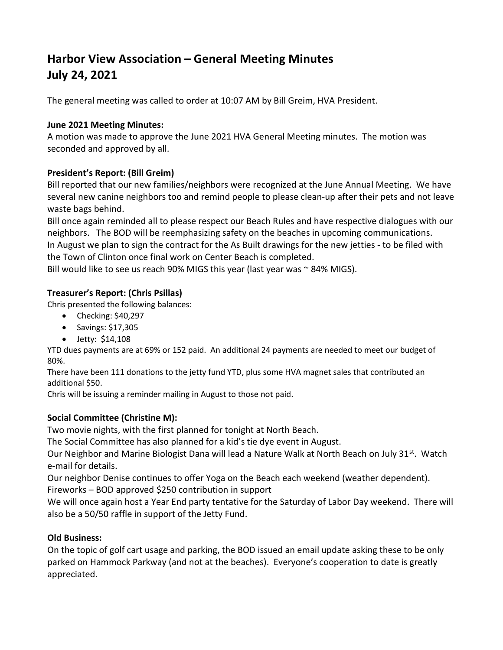# Harbor View Association – General Meeting Minutes July 24, 2021

The general meeting was called to order at 10:07 AM by Bill Greim, HVA President.

#### June 2021 Meeting Minutes:

A motion was made to approve the June 2021 HVA General Meeting minutes. The motion was seconded and approved by all.

## President's Report: (Bill Greim)

Bill reported that our new families/neighbors were recognized at the June Annual Meeting. We have several new canine neighbors too and remind people to please clean-up after their pets and not leave waste bags behind.

Bill once again reminded all to please respect our Beach Rules and have respective dialogues with our neighbors. The BOD will be reemphasizing safety on the beaches in upcoming communications. In August we plan to sign the contract for the As Built drawings for the new jetties - to be filed with the Town of Clinton once final work on Center Beach is completed.

Bill would like to see us reach 90% MIGS this year (last year was  $\sim$  84% MIGS).

## Treasurer's Report: (Chris Psillas)

Chris presented the following balances:

- Checking: \$40,297
- $\bullet$  Savings: \$17,305
- Jetty: \$14,108

YTD dues payments are at 69% or 152 paid. An additional 24 payments are needed to meet our budget of 80%.

There have been 111 donations to the jetty fund YTD, plus some HVA magnet sales that contributed an additional \$50.

Chris will be issuing a reminder mailing in August to those not paid.

## Social Committee (Christine M):

Two movie nights, with the first planned for tonight at North Beach.

The Social Committee has also planned for a kid's tie dye event in August.

Our Neighbor and Marine Biologist Dana will lead a Nature Walk at North Beach on July 31<sup>st</sup>. Watch e-mail for details.

Our neighbor Denise continues to offer Yoga on the Beach each weekend (weather dependent).

Fireworks – BOD approved \$250 contribution in support

We will once again host a Year End party tentative for the Saturday of Labor Day weekend. There will also be a 50/50 raffle in support of the Jetty Fund.

## Old Business:

On the topic of golf cart usage and parking, the BOD issued an email update asking these to be only parked on Hammock Parkway (and not at the beaches). Everyone's cooperation to date is greatly appreciated.